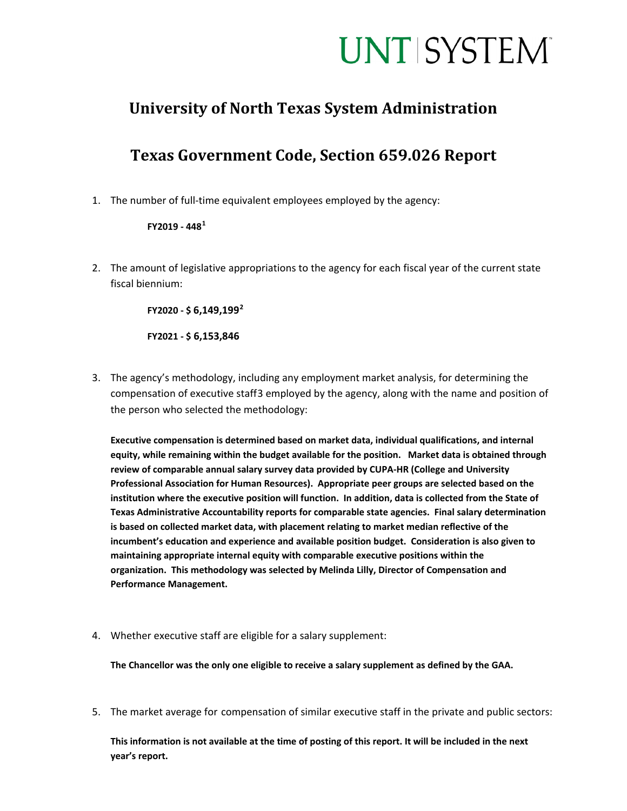## **UNT SYSTEM**

### **University of North Texas System Administration**

## **Texas Government Code, Section 659.026 Report**

1. The number of full-time equivalent employees employed by the agency:

#### **FY2019 - 448[1](#page-1-0)**

2. The amount of legislative appropriations to the agency for each fiscal year of the current state fiscal biennium:

**FY2020 - \$ 6,149,199[2](#page-1-1)**

**FY2021 - \$ 6,153,846**

3. The agency's methodology, including any employment market analysis, for determining the compensation of executive staff[3](#page-1-2) employed by the agency, along with the name and position of the person who selected the methodology:

**Executive compensation is determined based on market data, individual qualifications, and internal equity, while remaining within the budget available for the position. Market data is obtained through review of comparable annual salary survey data provided by CUPA-HR (College and University Professional Association for Human Resources). Appropriate peer groups are selected based on the institution where the executive position will function. In addition, data is collected from the State of Texas Administrative Accountability reports for comparable state agencies. Final salary determination is based on collected market data, with placement relating to market median reflective of the incumbent's education and experience and available position budget. Consideration is also given to maintaining appropriate internal equity with comparable executive positions within the organization. This methodology was selected by Melinda Lilly, Director of Compensation and Performance Management.**

4. Whether executive staff are eligible for a salary supplement:

**The Chancellor was the only one eligible to receive a salary supplement as defined by the GAA.**

5. The market average for compensation of similar executive staff in the private and public sectors:

**This information is not available at the time of posting of this report. It will be included in the next year's report.**